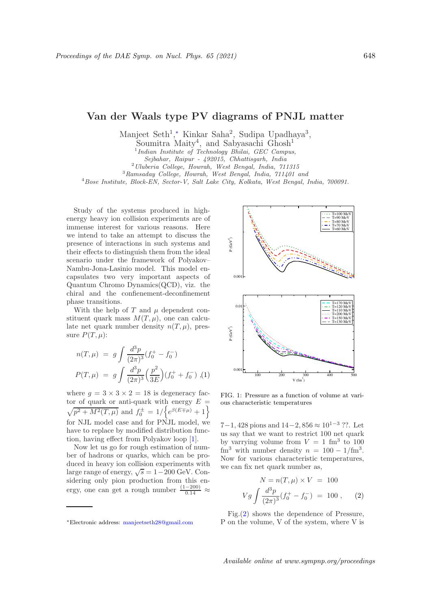## Van der Waals type PV diagrams of PNJL matter

Manjeet Seth<sup>1</sup>,\* Kinkar Saha<sup>2</sup>, Sudipa Upadhaya<sup>3</sup>,

Soumitra Maity<sup>4</sup>, and Sabyasachi Ghosh<sup>1</sup>

<sup>3</sup>Ramsaday College, Howrah, West Bengal, India, 711401 and

<sup>4</sup>Bose Institute, Block-EN, Sector-V, Salt Lake City, Kolkata, West Bengal, India, 700091.

Study of the systems produced in highenergy heavy ion collision experiments are of immense interest for various reasons. Here we intend to take an attempt to discuss the presence of interactions in such systems and their effects to distinguish them from the ideal scenario under the framework of Polyakov– Nambu-Jona-Lasinio model. This model encapsulates two very important aspects of Quantum Chromo Dynamics(QCD), viz. the chiral and the confienement-deconfinement phase transitions.

With the help of  $T$  and  $\mu$  dependent constituent quark mass  $M(T, \mu)$ , one can calculate net quark number density  $n(T, \mu)$ , pressure  $P(T, \mu)$ :

$$
n(T, \mu) = g \int \frac{d^3 p}{(2\pi)^3} (f_0^+ - f_0^-)
$$
  

$$
P(T, \mu) = g \int \frac{d^3 p}{(2\pi)^3} \left(\frac{p^2}{3E}\right) (f_0^+ + f_0^-), (1)
$$

where  $g = 3 \times 3 \times 2 = 18$  is degeneracy factor of quark or anti-quark with energy  $E =$  $\sqrt{p^2 + M^2(T,\mu)}$  and  $f_0^{\pm} = 1/\left\{e^{\beta(E \mp \mu)} + 1\right\}$ for NJL model case and for PNJL model, we have to replace by modified distribution function, having effect from Polyakov loop [1].

Now let us go for rough estimation of number of hadrons or quarks, which can be produced in heavy ion collision experiments with large range of energy,  $\sqrt{s} = 1-200 \text{ GeV}$ . Considering only pion production from this energy, one can get a rough number  $\frac{(1-200)}{0.14} \approx$ 



FIG. 1: Pressure as a function of volume at various characteristic temperatures

7−1, 428 pions and  $14-2$ , 856  $\approx 10^{1-3}$  ??. Let us say that we want to restrict 100 net quark by varrying volume from  $V = 1$  fm<sup>3</sup> to 100  $\text{fm}^3$  with number density  $n = 100 - 1/\text{fm}^3$ . Now for various characteristic temperatures, we can fix net quark number as,

$$
N = n(T, \mu) \times V = 100
$$
  

$$
Vg \int \frac{d^3p}{(2\pi)^3} (f_0^+ - f_0^-) = 100 ,
$$
 (2)

Fig.(2) shows the dependence of Pressure, P on the volume, V of the system, where V is

<sup>&</sup>lt;sup>1</sup>Indian Institute of Technology Bhilai, GEC Campus,

Sejbahar, Raipur - 492015, Chhattisgarh, India

<sup>2</sup>Uluberia College, Howrah, West Bengal, India, 711315

<sup>∗</sup>Electronic address: manjeetseth28@gmail.com